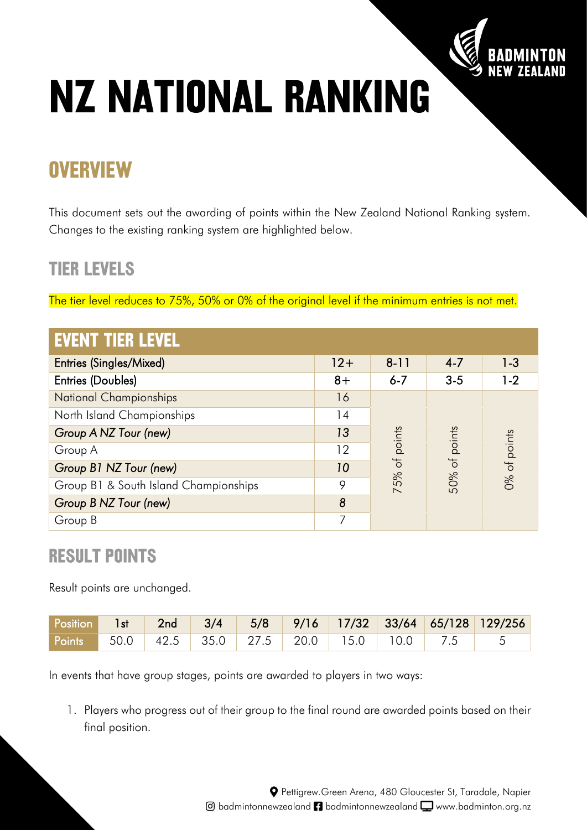

# **NZ NATIONAL RANKING**

# **OVERVIEW**

This document sets out the awarding of points within the New Zealand National Ranking system. Changes to the existing ranking system are highlighted below.

## **TIER LEVELS**

The tier level reduces to 75%, 50% or 0% of the original level if the minimum entries is not met.

| <b>EVENT TIER LEVEL</b>               |       |          |               |              |
|---------------------------------------|-------|----------|---------------|--------------|
| <b>Entries (Singles/Mixed)</b>        | $12+$ | $8 - 11$ | $4 - 7$       | $1 - 3$      |
| <b>Entries (Doubles)</b>              | $8+$  | $6 - 7$  | $3-5$         | $1 - 2$      |
| <b>National Championships</b>         | 16    |          |               |              |
| North Island Championships            | 14    |          |               |              |
| Group A NZ Tour (new)                 | 13    | points   |               |              |
| Group A                               | 12    |          |               |              |
| Group B1 NZ Tour (new)                | 10    | $\sigma$ | 50% of points | 0% of points |
| Group B1 & South Island Championships | 9     | 75%      |               |              |
| Group B NZ Tour (new)                 | 8     |          |               |              |
| Group B                               | 7     |          |               |              |

### **RESULT POINTS**

Result points are unchanged.

|  |  |  |  | Position 1st 2nd 3/4 5/8 9/16 17/32 33/64 65/128 129/256 |
|--|--|--|--|----------------------------------------------------------|
|  |  |  |  | Points 50.0 42.5 35.0 27.5 20.0 15.0 10.0 7.5 5          |

In events that have group stages, points are awarded to players in two ways:

1. Players who progress out of their group to the final round are awarded points based on their final position.